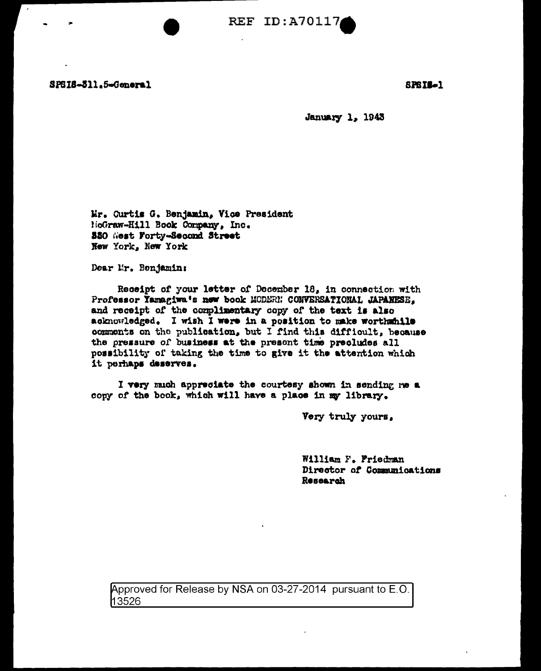SPSIS-311.5-General

**SPSIL-1** 

**January 1, 1943** 

Mr. Curtis G. Benjamin, Vice President MoGraw-Hill Book Company, Inc. 550 West Forty-Second Street New York, New York

Dear Mr. Benjamin:

Receipt of your letter of December 18, in connection with Professor Yamagiwa's new book MCDERN CONVERSATIONAL JAPANESE, and receipt of the complimentary copy of the text is also acknowledged. I wish I were in a position to make worthwhile comments on the publication, but I find this difficult, because the pressure of business at the present time precludes all possibility of taking the time to give it the attention which it perhaps deserves.

I very much appreciate the courtesy shown in sending me a copy of the book, which will have a place in my library.

Very truly yours.

William F. Friedman Director of Communications Research

Approved for Release by NSA on 03-27-2014 pursuant to E.O. 13526